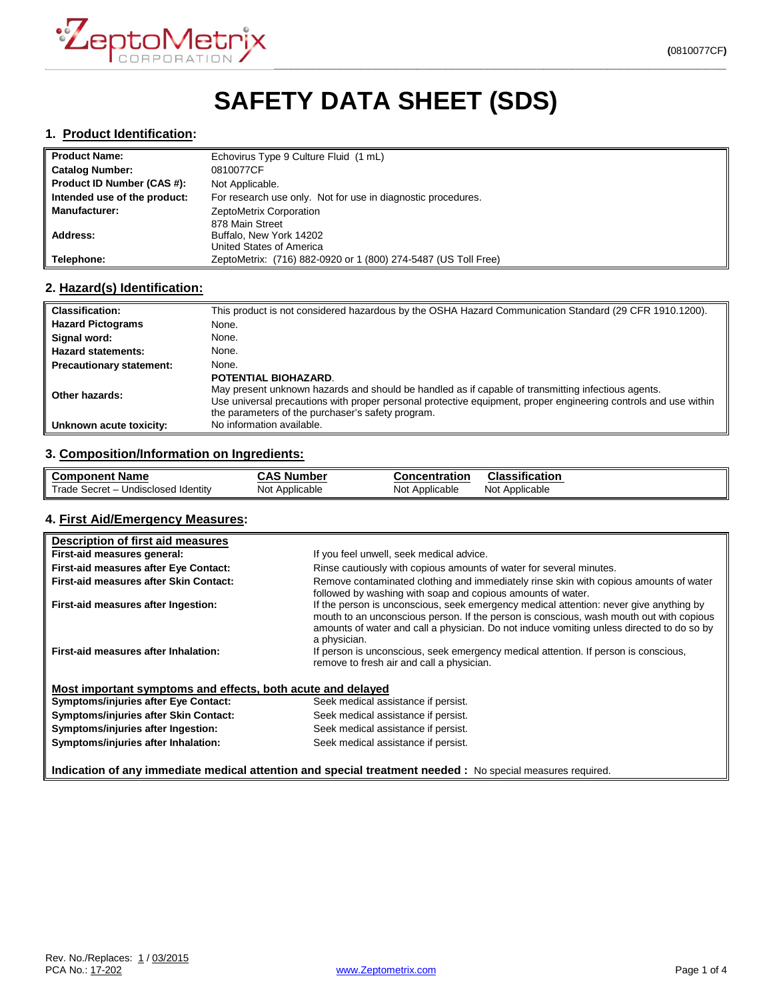

# **SAFETY DATA SHEET (SDS)**

#### **1. Product Identification:**

| <b>Il Product Name:</b>      | Echovirus Type 9 Culture Fluid (1 mL)                          |
|------------------------------|----------------------------------------------------------------|
| Catalog Number:              | 0810077CF                                                      |
| Product ID Number (CAS #):   | Not Applicable.                                                |
| Intended use of the product: | For research use only. Not for use in diagnostic procedures.   |
| ll Manufacturer:             | ZeptoMetrix Corporation                                        |
|                              | 878 Main Street                                                |
| Address:                     | Buffalo, New York 14202                                        |
|                              | United States of America                                       |
| Telephone:                   | ZeptoMetrix: (716) 882-0920 or 1 (800) 274-5487 (US Toll Free) |

# **2. Hazard(s) Identification:**

| <b>Classification:</b>          | This product is not considered hazardous by the OSHA Hazard Communication Standard (29 CFR 1910.1200).                                                                                                                                                                                             |
|---------------------------------|----------------------------------------------------------------------------------------------------------------------------------------------------------------------------------------------------------------------------------------------------------------------------------------------------|
| <b>Hazard Pictograms</b>        | None.                                                                                                                                                                                                                                                                                              |
| Signal word:                    | None.                                                                                                                                                                                                                                                                                              |
| <b>Hazard statements:</b>       | None.                                                                                                                                                                                                                                                                                              |
| <b>Precautionary statement:</b> | None.                                                                                                                                                                                                                                                                                              |
| Other hazards:                  | POTENTIAL BIOHAZARD.<br>May present unknown hazards and should be handled as if capable of transmitting infectious agents.<br>Use universal precautions with proper personal protective equipment, proper engineering controls and use within<br>the parameters of the purchaser's safety program. |
| Unknown acute toxicity:         | No information available.                                                                                                                                                                                                                                                                          |

# **3. Composition/Information on Ingredients:**

| <b>Component Name</b>               | CAS<br>ה Number | Concentration  | Classification    |
|-------------------------------------|-----------------|----------------|-------------------|
| Trade Secret - Undisclosed Identity | Not Applicable  | Not Applicable | Not<br>Applicable |

#### **4. First Aid/Emergency Measures:**

| Description of first aid measures                                                                          |                                                                                                                                                                                                                                                                                                |  |  |
|------------------------------------------------------------------------------------------------------------|------------------------------------------------------------------------------------------------------------------------------------------------------------------------------------------------------------------------------------------------------------------------------------------------|--|--|
| First-aid measures general:                                                                                | If you feel unwell, seek medical advice.                                                                                                                                                                                                                                                       |  |  |
| First-aid measures after Eye Contact:                                                                      | Rinse cautiously with copious amounts of water for several minutes.                                                                                                                                                                                                                            |  |  |
| First-aid measures after Skin Contact:                                                                     | Remove contaminated clothing and immediately rinse skin with copious amounts of water<br>followed by washing with soap and copious amounts of water.                                                                                                                                           |  |  |
| First-aid measures after Ingestion:                                                                        | If the person is unconscious, seek emergency medical attention: never give anything by<br>mouth to an unconscious person. If the person is conscious, wash mouth out with copious<br>amounts of water and call a physician. Do not induce vomiting unless directed to do so by<br>a physician. |  |  |
| First-aid measures after Inhalation:                                                                       | If person is unconscious, seek emergency medical attention. If person is conscious,<br>remove to fresh air and call a physician.                                                                                                                                                               |  |  |
| Most important symptoms and effects, both acute and delayed                                                |                                                                                                                                                                                                                                                                                                |  |  |
| <b>Symptoms/injuries after Eye Contact:</b>                                                                | Seek medical assistance if persist.                                                                                                                                                                                                                                                            |  |  |
| <b>Symptoms/injuries after Skin Contact:</b>                                                               | Seek medical assistance if persist.                                                                                                                                                                                                                                                            |  |  |
| Symptoms/injuries after Ingestion:                                                                         | Seek medical assistance if persist.                                                                                                                                                                                                                                                            |  |  |
| Symptoms/injuries after Inhalation:                                                                        | Seek medical assistance if persist.                                                                                                                                                                                                                                                            |  |  |
| Indication of any immediate medical attention and special treatment needed : No special measures required. |                                                                                                                                                                                                                                                                                                |  |  |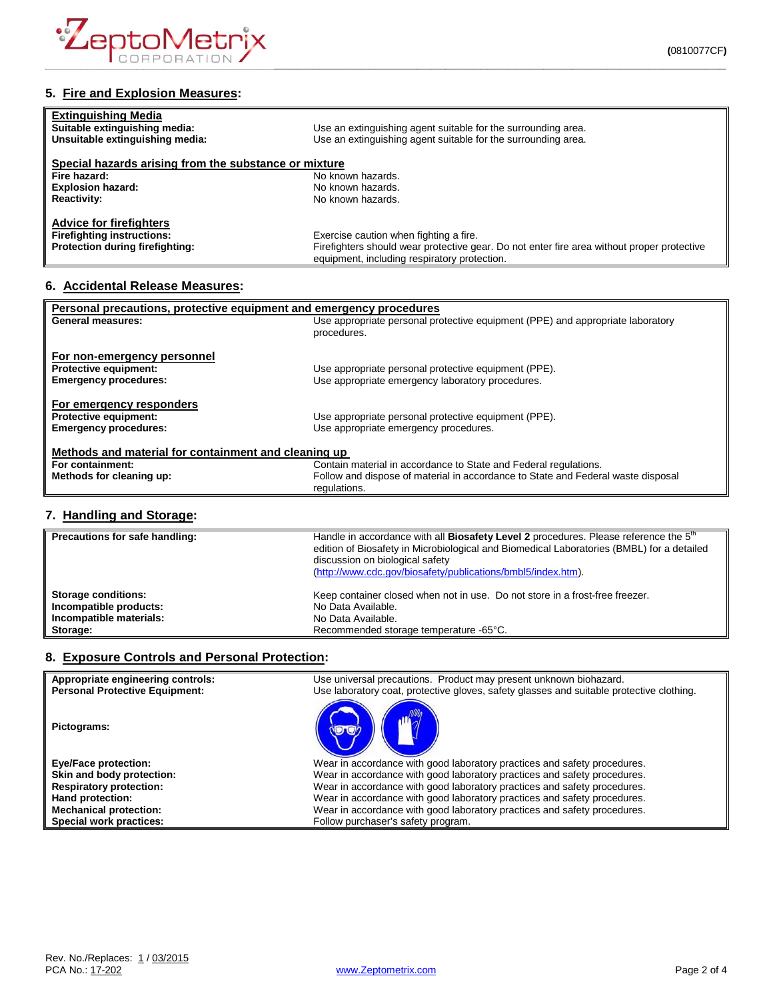

| <b>Extinguishing Media</b>                            |                                                               |  |
|-------------------------------------------------------|---------------------------------------------------------------|--|
| Suitable extinguishing media:                         | Use an extinguishing agent suitable for the surrounding area. |  |
| Unsuitable extinguishing media:                       | Use an extinguishing agent suitable for the surrounding area. |  |
| Special hazards arising from the substance or mixture |                                                               |  |
| Fire hazard:                                          | No known hazards.                                             |  |
| <b>Explosion hazard:</b>                              | No known hazards.                                             |  |
| <b>Reactivity:</b>                                    | No known hazards.                                             |  |

| <b>Advice for firefighters</b>         |                                                                                            |
|----------------------------------------|--------------------------------------------------------------------------------------------|
| <b>Firefighting instructions:</b>      | Exercise caution when fighting a fire.                                                     |
| <b>Protection during firefighting:</b> | Firefighters should wear protective gear. Do not enter fire area without proper protective |
|                                        | equipment, including respiratory protection.                                               |

#### **6. Accidental Release Measures:**

| Personal precautions, protective equipment and emergency procedures |                                                                                  |  |
|---------------------------------------------------------------------|----------------------------------------------------------------------------------|--|
| <b>General measures:</b>                                            | Use appropriate personal protective equipment (PPE) and appropriate laboratory   |  |
|                                                                     | procedures.                                                                      |  |
|                                                                     |                                                                                  |  |
| For non-emergency personnel                                         |                                                                                  |  |
| <b>Protective equipment:</b>                                        | Use appropriate personal protective equipment (PPE).                             |  |
| <b>Emergency procedures:</b>                                        | Use appropriate emergency laboratory procedures.                                 |  |
|                                                                     |                                                                                  |  |
| For emergency responders                                            |                                                                                  |  |
| Protective equipment:                                               | Use appropriate personal protective equipment (PPE).                             |  |
| <b>Emergency procedures:</b>                                        | Use appropriate emergency procedures.                                            |  |
|                                                                     |                                                                                  |  |
| Methods and material for containment and cleaning up                |                                                                                  |  |
| For containment:                                                    | Contain material in accordance to State and Federal regulations.                 |  |
| Methods for cleaning up:                                            | Follow and dispose of material in accordance to State and Federal waste disposal |  |
|                                                                     | regulations.                                                                     |  |
|                                                                     |                                                                                  |  |

# **7. Handling and Storage:**

| Precautions for safe handling: | Handle in accordance with all Biosafety Level 2 procedures. Please reference the 5 <sup>th</sup><br>edition of Biosafety in Microbiological and Biomedical Laboratories (BMBL) for a detailed<br>discussion on biological safety<br>(http://www.cdc.gov/biosafety/publications/bmbl5/index.htm). |
|--------------------------------|--------------------------------------------------------------------------------------------------------------------------------------------------------------------------------------------------------------------------------------------------------------------------------------------------|
| <b>Storage conditions:</b>     | Keep container closed when not in use. Do not store in a frost-free freezer.                                                                                                                                                                                                                     |
| Incompatible products:         | No Data Available.                                                                                                                                                                                                                                                                               |
| Incompatible materials:        | No Data Available.                                                                                                                                                                                                                                                                               |
| Storage:                       | Recommended storage temperature -65°C.                                                                                                                                                                                                                                                           |

#### **8. Exposure Controls and Personal Protection:**

| Appropriate engineering controls:<br><b>Personal Protective Equipment:</b> | Use universal precautions. Product may present unknown biohazard.<br>Use laboratory coat, protective gloves, safety glasses and suitable protective clothing. |
|----------------------------------------------------------------------------|---------------------------------------------------------------------------------------------------------------------------------------------------------------|
| Pictograms:                                                                |                                                                                                                                                               |
| <b>Eye/Face protection:</b>                                                | Wear in accordance with good laboratory practices and safety procedures.                                                                                      |
| Skin and body protection:                                                  | Wear in accordance with good laboratory practices and safety procedures.                                                                                      |
| <b>Respiratory protection:</b>                                             | Wear in accordance with good laboratory practices and safety procedures.                                                                                      |
| Hand protection:                                                           | Wear in accordance with good laboratory practices and safety procedures.                                                                                      |
| <b>Mechanical protection:</b>                                              | Wear in accordance with good laboratory practices and safety procedures.                                                                                      |
| Special work practices:                                                    | Follow purchaser's safety program.                                                                                                                            |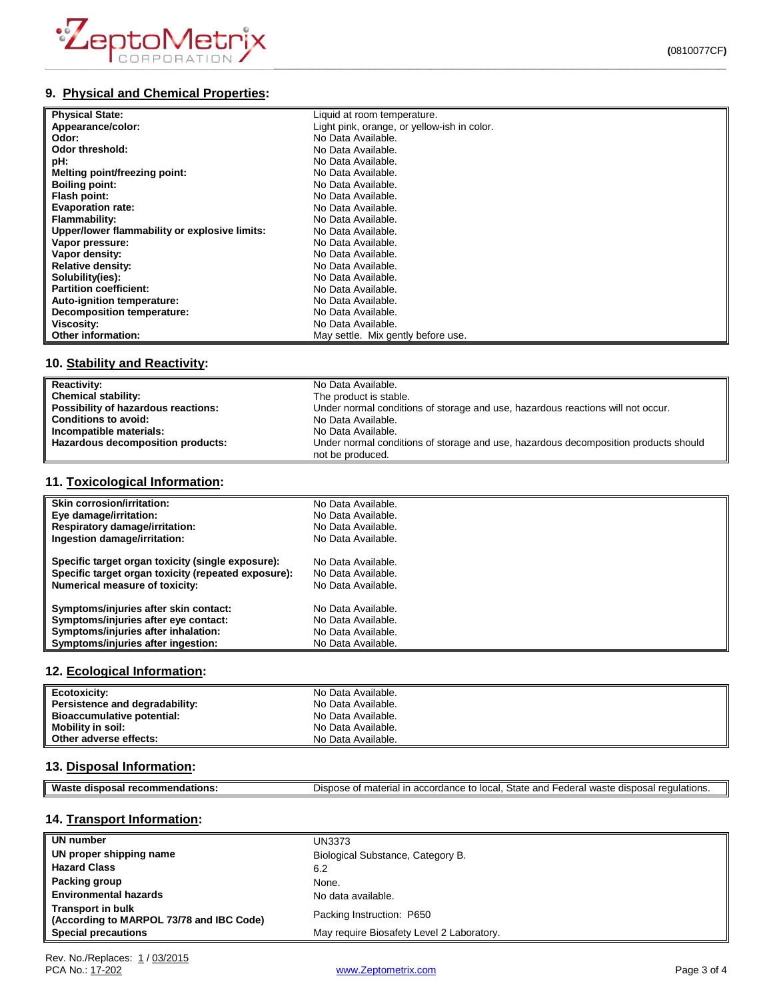

# **9. Physical and Chemical Properties:**

| <b>Physical State:</b>                        | Liquid at room temperature.                 |
|-----------------------------------------------|---------------------------------------------|
| Appearance/color:                             | Light pink, orange, or yellow-ish in color. |
| Odor:                                         | No Data Available.                          |
| Odor threshold:                               | No Data Available.                          |
| pH:                                           | No Data Available.                          |
| Melting point/freezing point:                 | No Data Available.                          |
| <b>Boiling point:</b>                         | No Data Available.                          |
| Flash point:                                  | No Data Available.                          |
| <b>Evaporation rate:</b>                      | No Data Available.                          |
| Flammability:                                 | No Data Available.                          |
| Upper/lower flammability or explosive limits: | No Data Available.                          |
| Vapor pressure:                               | No Data Available.                          |
| Vapor density:                                | No Data Available.                          |
| <b>Relative density:</b>                      | No Data Available.                          |
| Solubility(ies):                              | No Data Available.                          |
| <b>Partition coefficient:</b>                 | No Data Available.                          |
| Auto-ignition temperature:                    | No Data Available.                          |
| Decomposition temperature:                    | No Data Available.                          |
| Viscosity:                                    | No Data Available.                          |
| Other information:                            | May settle. Mix gently before use.          |

# **10. Stability and Reactivity:**

| <b>Reactivity:</b>                  | No Data Available.                                                                                      |
|-------------------------------------|---------------------------------------------------------------------------------------------------------|
| Chemical stability:                 | The product is stable.                                                                                  |
| Possibility of hazardous reactions: | Under normal conditions of storage and use, hazardous reactions will not occur.                         |
| <b>Conditions to avoid:</b>         | No Data Available.                                                                                      |
| Incompatible materials:             | No Data Available.                                                                                      |
| Hazardous decomposition products:   | Under normal conditions of storage and use, hazardous decomposition products should<br>not be produced. |

# **11. Toxicological Information:**

| <b>Skin corrosion/irritation:</b>                   | No Data Available. |
|-----------------------------------------------------|--------------------|
| Eye damage/irritation:                              | No Data Available. |
| <b>Respiratory damage/irritation:</b>               | No Data Available. |
| Ingestion damage/irritation:                        | No Data Available. |
| Specific target organ toxicity (single exposure):   | No Data Available. |
| Specific target organ toxicity (repeated exposure): | No Data Available. |
| <b>Numerical measure of toxicity:</b>               | No Data Available. |
| Symptoms/injuries after skin contact:               | No Data Available. |
| Symptoms/injuries after eye contact:                | No Data Available. |
| Symptoms/injuries after inhalation:                 | No Data Available. |
| Symptoms/injuries after ingestion:                  | No Data Available. |

## **12. Ecological Information:**

| Ecotoxicity:                      | No Data Available. |
|-----------------------------------|--------------------|
| Persistence and degradability:    | No Data Available. |
| <b>Bioaccumulative potential:</b> | No Data Available. |
| Mobility in soil:                 | No Data Available. |
| Other adverse effects:            | No Data Available. |

# **13. Disposal Information:**

| ML<br>oв.<br>50<br>- - | State<br>and<br>local<br>1.0 <sub>m</sub><br>- -<br>$\overline{a}$<br>- 스<br>י הווה<br>.00<br>,,,<br>. Ir<br>~<br>$\epsilon$<br>.ore<br>$\overline{\phantom{a}}$<br>$\sim$<br>ы.<br>-<br>.107<br>৴౹៶<br>วเเ<br><b>EULDI</b> 13.<br>.<br>. . |
|------------------------|---------------------------------------------------------------------------------------------------------------------------------------------------------------------------------------------------------------------------------------------|
|                        |                                                                                                                                                                                                                                             |

# **14. Transport Information:**

| UN number                                                            | <b>UN3373</b>                             |
|----------------------------------------------------------------------|-------------------------------------------|
| UN proper shipping name                                              | Biological Substance, Category B.         |
| <b>Hazard Class</b>                                                  | 6.2                                       |
| Packing group                                                        | None.                                     |
| <b>Environmental hazards</b>                                         | No data available.                        |
| <b>Transport in bulk</b><br>(According to MARPOL 73/78 and IBC Code) | Packing Instruction: P650                 |
| <b>Special precautions</b>                                           | May require Biosafety Level 2 Laboratory. |

[www.Zeptometrix.com](http://www.zeptometrix.com/) example and the property of 4